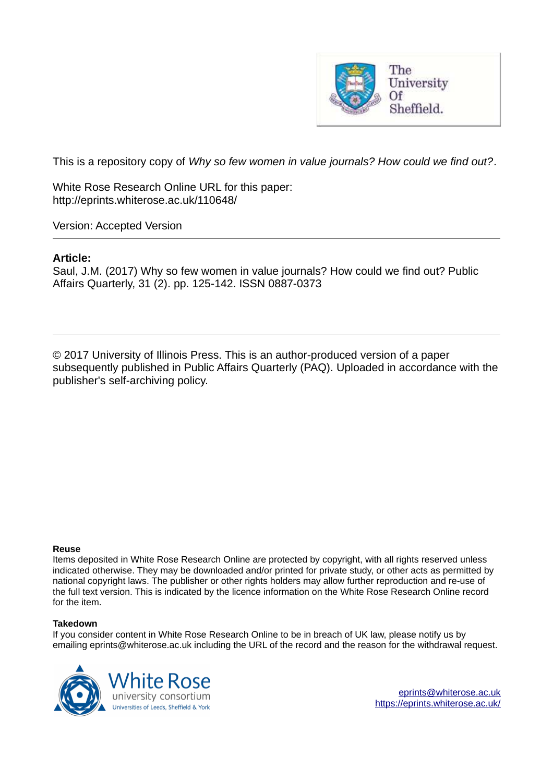

This is a repository copy of *Why so few women in value journals? How could we find out?*.

White Rose Research Online URL for this paper: http://eprints.whiterose.ac.uk/110648/

Version: Accepted Version

#### **Article:**

Saul, J.M. (2017) Why so few women in value journals? How could we find out? Public Affairs Quarterly, 31 (2). pp. 125-142. ISSN 0887-0373

© 2017 University of Illinois Press. This is an author-produced version of a paper subsequently published in Public Affairs Quarterly (PAQ). Uploaded in accordance with the publisher's self-archiving policy.

#### **Reuse**

Items deposited in White Rose Research Online are protected by copyright, with all rights reserved unless indicated otherwise. They may be downloaded and/or printed for private study, or other acts as permitted by national copyright laws. The publisher or other rights holders may allow further reproduction and re-use of the full text version. This is indicated by the licence information on the White Rose Research Online record for the item.

#### **Takedown**

If you consider content in White Rose Research Online to be in breach of UK law, please notify us by emailing eprints@whiterose.ac.uk including the URL of the record and the reason for the withdrawal request.



[eprints@whiterose.ac.uk](mailto:eprints@whiterose.ac.uk) <https://eprints.whiterose.ac.uk/>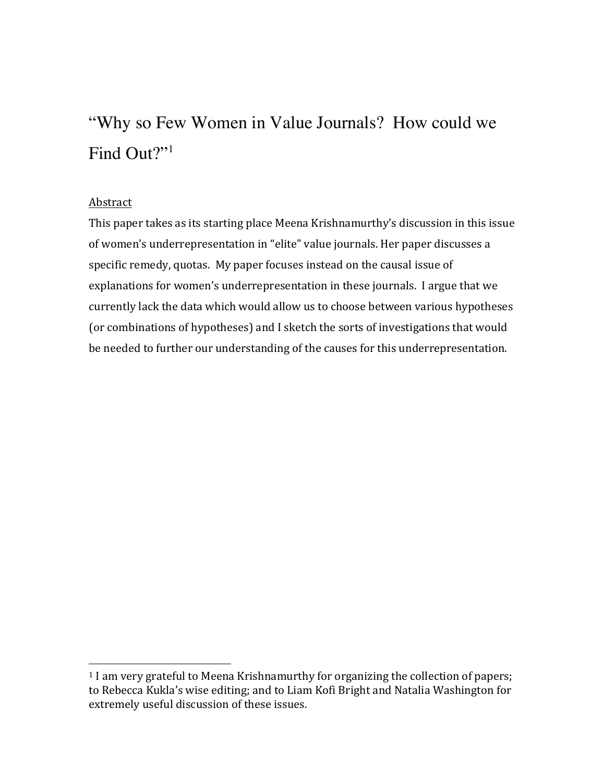# "Why so Few Women in Value Journals? How could we Find Out?"<sup>1</sup>

#### Abstract

 

This paper takes as its starting place Meena Krishnamurthy's discussion in this issue of women's underrepresentation in "elite" value journals. Her paper discusses a specific remedy, quotas. My paper focuses instead on the causal issue of explanations for women's underrepresentation in these journals. I argue that we currently lack the data which would allow us to choose between various hypotheses (or combinations of hypotheses) and I sketch the sorts of investigations that would be needed to further our understanding of the causes for this underrepresentation.

<sup>&</sup>lt;sup>1</sup> I am very grateful to Meena Krishnamurthy for organizing the collection of papers; to Rebecca Kukla's wise editing; and to Liam Kofi Bright and Natalia Washington for extremely useful discussion of these issues.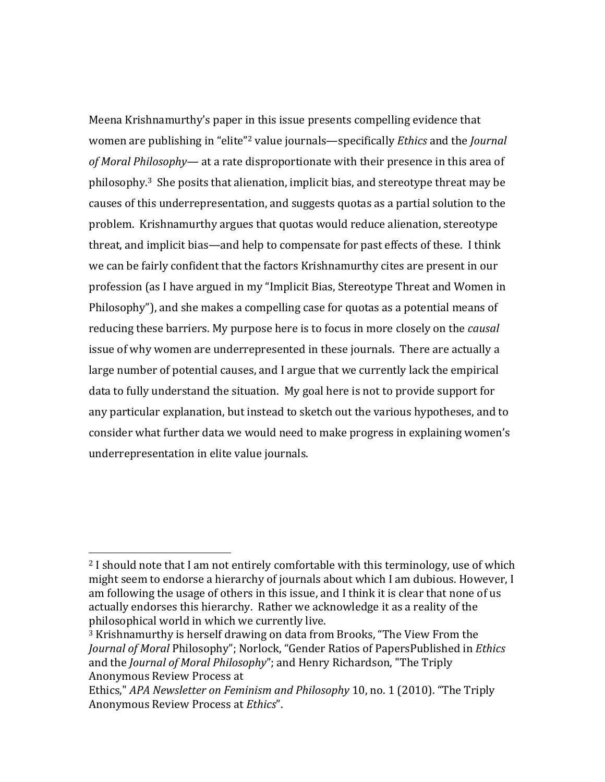Meena Krishnamurthy's paper in this issue presents compelling evidence that women are publishing in "elite"<sup>2</sup> value journals—specifically *Ethics* and the *Journal of Moral Philosophy—* at a rate disproportionate with their presence in this area of  $philosophy<sup>3</sup>$ . She posits that alienation, implicit bias, and stereotype threat may be causes of this underrepresentation, and suggests quotas as a partial solution to the problem. Krishnamurthy argues that quotas would reduce alienation, stereotype threat, and implicit bias—and help to compensate for past effects of these. I think we can be fairly confident that the factors Krishnamurthy cites are present in our profession (as I have argued in my "Implicit Bias, Stereotype Threat and Women in Philosophy"), and she makes a compelling case for quotas as a potential means of reducing these barriers. My purpose here is to focus in more closely on the *causal* issue of why women are underrepresented in these journals. There are actually a large number of potential causes, and I argue that we currently lack the empirical data to fully understand the situation. My goal here is not to provide support for any particular explanation, but instead to sketch out the various hypotheses, and to consider what further data we would need to make progress in explaining women's underrepresentation in elite value journals.

 

<sup>&</sup>lt;sup>2</sup> I should note that I am not entirely comfortable with this terminology, use of which might seem to endorse a hierarchy of journals about which I am dubious. However, I am following the usage of others in this issue, and I think it is clear that none of us actually endorses this hierarchy. Rather we acknowledge it as a reality of the philosophical world in which we currently live.

<sup>&</sup>lt;sup>3</sup> Krishnamurthy is herself drawing on data from Brooks, "The View From the *Journal of Moral Philosophy"*; Norlock, "Gender Ratios of PapersPublished in *Ethics* and the *Journal of Moral Philosophy*"; and Henry Richardson, "The Triply Anonymous Review Process at 

Ethics," APA Newsletter on Feminism and Philosophy 10, no. 1 (2010). "The Triply Anonymous Review Process at *Ethics*".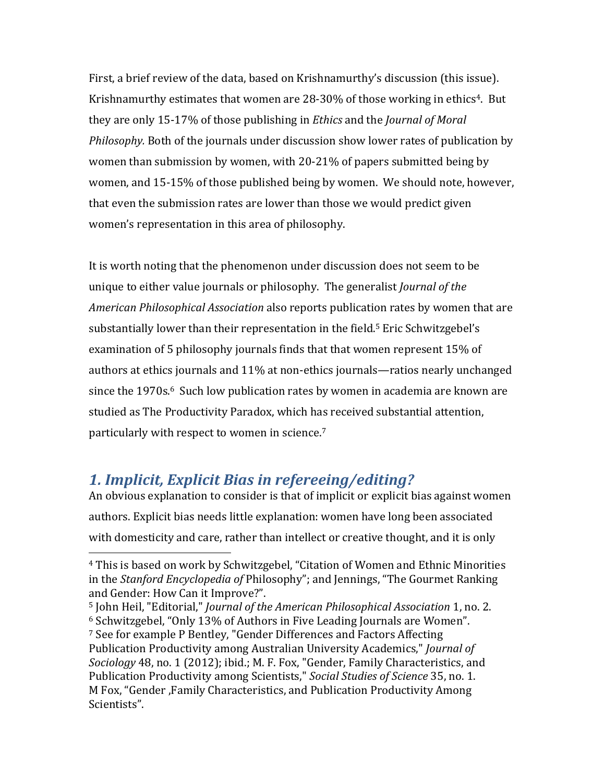First, a brief review of the data, based on Krishnamurthy's discussion (this issue). Krishnamurthy estimates that women are  $28-30\%$  of those working in ethics<sup>4</sup>. But they are only 15-17% of those publishing in *Ethics* and the *Journal of Moral Philosophy.* Both of the journals under discussion show lower rates of publication by women than submission by women, with 20-21% of papers submitted being by women, and 15-15% of those published being by women. We should note, however, that even the submission rates are lower than those we would predict given women's representation in this area of philosophy.

It is worth noting that the phenomenon under discussion does not seem to be unique to either value journals or philosophy. The generalist *Journal of the American Philosophical Association* also reports publication rates by women that are substantially lower than their representation in the field.<sup>5</sup> Eric Schwitzgebel's examination of 5 philosophy journals finds that that women represent 15% of authors at ethics journals and  $11\%$  at non-ethics journals—ratios nearly unchanged since the 1970s.<sup>6</sup> Such low publication rates by women in academia are known are studied as The Productivity Paradox, which has received substantial attention, particularly with respect to women in science.<sup>7</sup>

# *1. Implicit, Explicit Bias in refereeing/editing?*

 

An obvious explanation to consider is that of implicit or explicit bias against women authors. Explicit bias needs little explanation: women have long been associated with domesticity and care, rather than intellect or creative thought, and it is only

<sup>5</sup> John Heil, "Editorial," *Journal of the American Philosophical Association* 1, no. 2.  $6$  Schwitzgebel, "Only 13% of Authors in Five Leading Journals are Women". <sup>7</sup> See for example P Bentley, "Gender Differences and Factors Affecting

<sup>&</sup>lt;sup>4</sup> This is based on work by Schwitzgebel, "Citation of Women and Ethnic Minorities in the *Stanford Encyclopedia of* Philosophy"; and Jennings, "The Gourmet Ranking and Gender: How Can it Improve?".

Publication Productivity among Australian University Academics," *Journal of* Sociology 48, no. 1 (2012); ibid.; M. F. Fox, "Gender, Family Characteristics, and Publication Productivity among Scientists," Social Studies of Science 35, no. 1. M Fox, "Gender ,Family Characteristics, and Publication Productivity Among Scientists".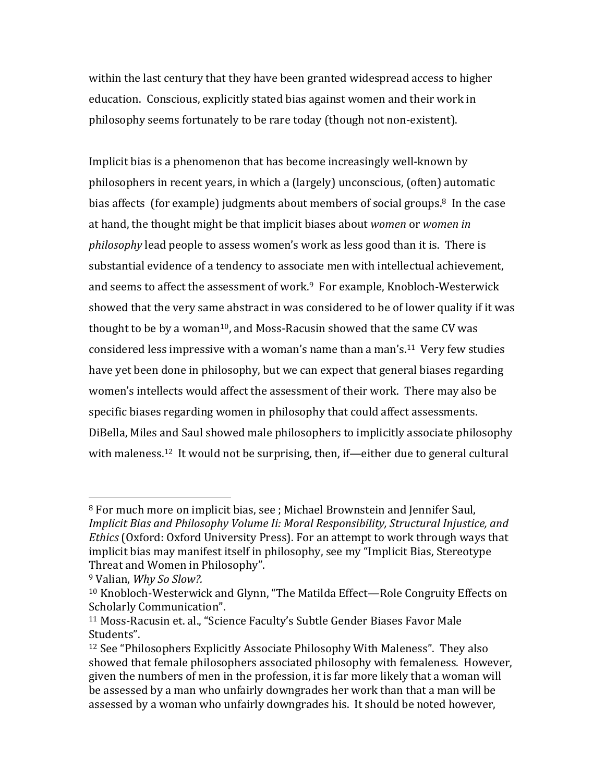within the last century that they have been granted widespread access to higher education. Conscious, explicitly stated bias against women and their work in philosophy seems fortunately to be rare today (though not non-existent).

Implicit bias is a phenomenon that has become increasingly well-known by philosophers in recent years, in which a (largely) unconscious, (often) automatic bias affects (for example) judgments about members of social groups.<sup>8</sup> In the case at hand, the thought might be that implicit biases about *women* or *women* in *philosophy* lead people to assess women's work as less good than it is. There is substantial evidence of a tendency to associate men with intellectual achievement, and seems to affect the assessment of work. $9$  For example, Knobloch-Westerwick showed that the very same abstract in was considered to be of lower quality if it was thought to be by a woman<sup>10</sup>, and Moss-Racusin showed that the same CV was considered less impressive with a woman's name than a man's.<sup>11</sup> Very few studies have yet been done in philosophy, but we can expect that general biases regarding women's intellects would affect the assessment of their work. There may also be specific biases regarding women in philosophy that could affect assessments. DiBella, Miles and Saul showed male philosophers to implicitly associate philosophy with maleness.<sup>12</sup> It would not be surprising, then, if—either due to general cultural

 

<sup>&</sup>lt;sup>8</sup> For much more on implicit bias, see ; Michael Brownstein and Jennifer Saul, *Implicit Bias and Philosophy Volume Ii: Moral Responsibility, Structural Injustice, and Ethics* (Oxford: Oxford University Press). For an attempt to work through ways that implicit bias may manifest itself in philosophy, see my "Implicit Bias, Stereotype Threat and Women in Philosophy".

<sup>&</sup>lt;sup>9</sup> Valian, *Why So Slow?*.

<sup>&</sup>lt;sup>10</sup> Knobloch-Westerwick and Glynn, "The Matilda Effect—Role Congruity Effects on Scholarly Communication".

<sup>&</sup>lt;sup>11</sup> Moss-Racusin et. al., "Science Faculty's Subtle Gender Biases Favor Male Students".

 $12$  See "Philosophers Explicitly Associate Philosophy With Maleness". They also showed that female philosophers associated philosophy with femaleness. However, given the numbers of men in the profession, it is far more likely that a woman will be assessed by a man who unfairly downgrades her work than that a man will be assessed by a woman who unfairly downgrades his. It should be noted however,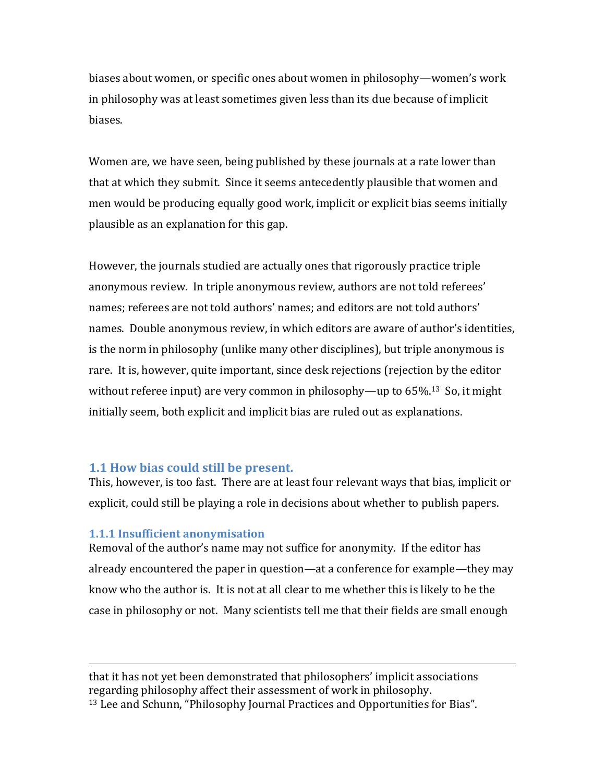biases about women, or specific ones about women in philosophy—women's work in philosophy was at least sometimes given less than its due because of implicit biases.

Women are, we have seen, being published by these journals at a rate lower than that at which they submit. Since it seems antecedently plausible that women and men would be producing equally good work, implicit or explicit bias seems initially plausible as an explanation for this gap.

However, the journals studied are actually ones that rigorously practice triple anonymous review. In triple anonymous review, authors are not told referees' names; referees are not told authors' names; and editors are not told authors' names. Double anonymous review, in which editors are aware of author's identities, is the norm in philosophy (unlike many other disciplines), but triple anonymous is rare. It is, however, quite important, since desk rejections (rejection by the editor without referee input) are very common in philosophy—up to  $65\%$ <sup>13</sup> So, it might initially seem, both explicit and implicit bias are ruled out as explanations.

#### **1.1 How bias could still be present.**

This, however, is too fast. There are at least four relevant ways that bias, implicit or explicit, could still be playing a role in decisions about whether to publish papers.

#### **1.1.1 Insufficient anonymisation**

Removal of the author's name may not suffice for anonymity. If the editor has already encountered the paper in question—at a conference for example—they may know who the author is. It is not at all clear to me whether this is likely to be the case in philosophy or not. Many scientists tell me that their fields are small enough

<u> 1989 - Jan Samuel Barbara, martxa a shekara tsa 1989 - An tsa 1989 - An tsa 1989 - An tsa 1989 - An tsa 198</u>

that it has not yet been demonstrated that philosophers' implicit associations regarding philosophy affect their assessment of work in philosophy. <sup>13</sup> Lee and Schunn, "Philosophy Journal Practices and Opportunities for Bias".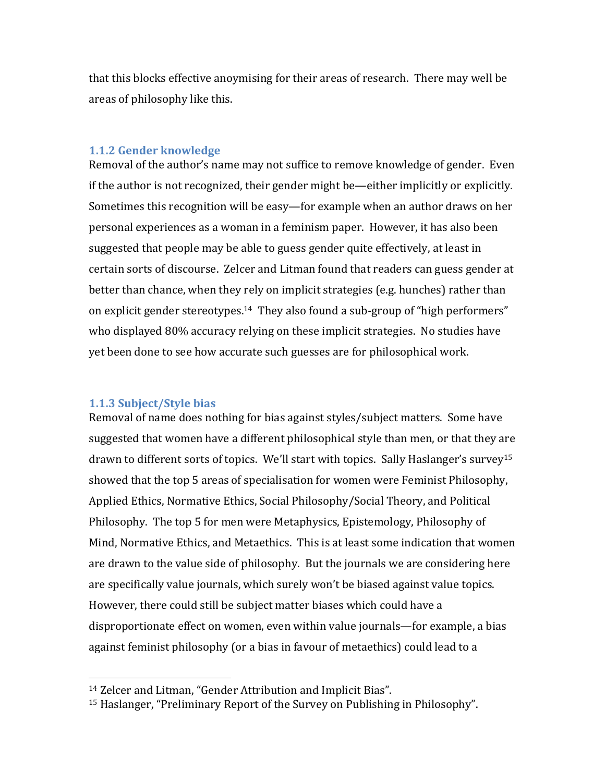that this blocks effective anoymising for their areas of research. There may well be areas of philosophy like this.

#### **1.1.2 Gender knowledge**

Removal of the author's name may not suffice to remove knowledge of gender. Even if the author is not recognized, their gender might be—either implicitly or explicitly. Sometimes this recognition will be easy-for example when an author draws on her personal experiences as a woman in a feminism paper. However, it has also been suggested that people may be able to guess gender quite effectively, at least in certain sorts of discourse. Zelcer and Litman found that readers can guess gender at better than chance, when they rely on implicit strategies  $(e.g.,$  hunches) rather than on explicit gender stereotypes.<sup>14</sup> They also found a sub-group of "high performers" who displayed 80% accuracy relying on these implicit strategies. No studies have yet been done to see how accurate such guesses are for philosophical work.

#### **1.1.3 Subject/Style bias**

 

Removal of name does nothing for bias against styles/subject matters. Some have suggested that women have a different philosophical style than men, or that they are drawn to different sorts of topics. We'll start with topics. Sally Haslanger's survey<sup>15</sup> showed that the top 5 areas of specialisation for women were Feminist Philosophy, Applied Ethics, Normative Ethics, Social Philosophy/Social Theory, and Political Philosophy. The top 5 for men were Metaphysics, Epistemology, Philosophy of Mind, Normative Ethics, and Metaethics. This is at least some indication that women are drawn to the value side of philosophy. But the journals we are considering here are specifically value journals, which surely won't be biased against value topics. However, there could still be subject matter biases which could have a disproportionate effect on women, even within value journals—for example, a bias against feminist philosophy (or a bias in favour of metaethics) could lead to a

<sup>&</sup>lt;sup>14</sup> Zelcer and Litman, "Gender Attribution and Implicit Bias".

 $15$  Haslanger, "Preliminary Report of the Survey on Publishing in Philosophy".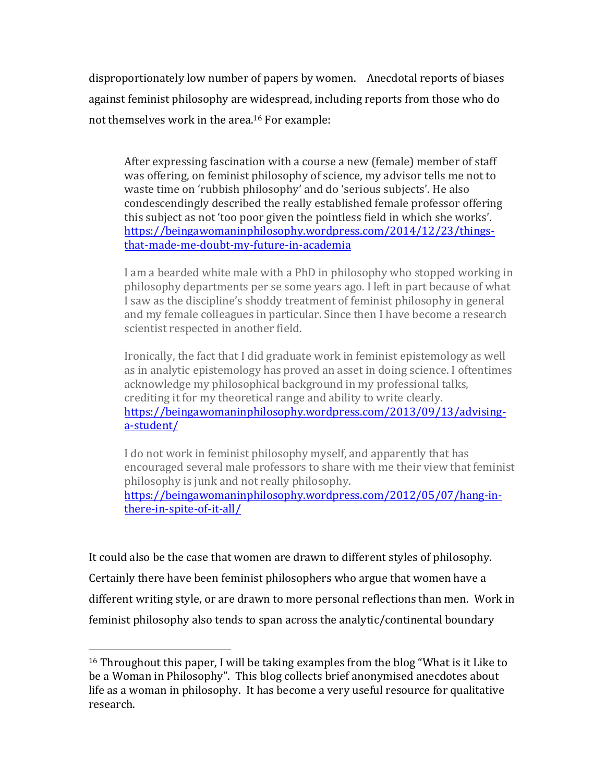disproportionately low number of papers by women. Anecdotal reports of biases against feminist philosophy are widespread, including reports from those who do not themselves work in the area.<sup>16</sup> For example:

After expressing fascination with a course a new (female) member of staff was offering, on feminist philosophy of science, my advisor tells me not to waste time on 'rubbish philosophy' and do 'serious subjects'. He also condescendingly described the really established female professor offering this subject as not 'too poor given the pointless field in which she works'. https://beingawomaninphilosophy.wordpress.com/2014/12/23/thingsthat-made-me-doubt-my-future-in-academia

I am a bearded white male with a PhD in philosophy who stopped working in philosophy departments per se some years ago. I left in part because of what I saw as the discipline's shoddy treatment of feminist philosophy in general and my female colleagues in particular. Since then I have become a research scientist respected in another field.

Ironically, the fact that I did graduate work in feminist epistemology as well as in analytic epistemology has proved an asset in doing science. I oftentimes acknowledge my philosophical background in my professional talks, crediting it for my theoretical range and ability to write clearly. https://beingawomaninphilosophy.wordpress.com/2013/09/13/advisinga-student/

I do not work in feminist philosophy myself, and apparently that has encouraged several male professors to share with me their view that feminist philosophy is junk and not really philosophy. https://beingawomaninphilosophy.wordpress.com/2012/05/07/hang-inthere-in-spite-of-it-all/

It could also be the case that women are drawn to different styles of philosophy. Certainly there have been feminist philosophers who argue that women have a different writing style, or are drawn to more personal reflections than men. Work in feminist philosophy also tends to span across the analytic/continental boundary

 

 $16$  Throughout this paper, I will be taking examples from the blog "What is it Like to be a Woman in Philosophy". This blog collects brief anonymised anecdotes about life as a woman in philosophy. It has become a very useful resource for qualitative research.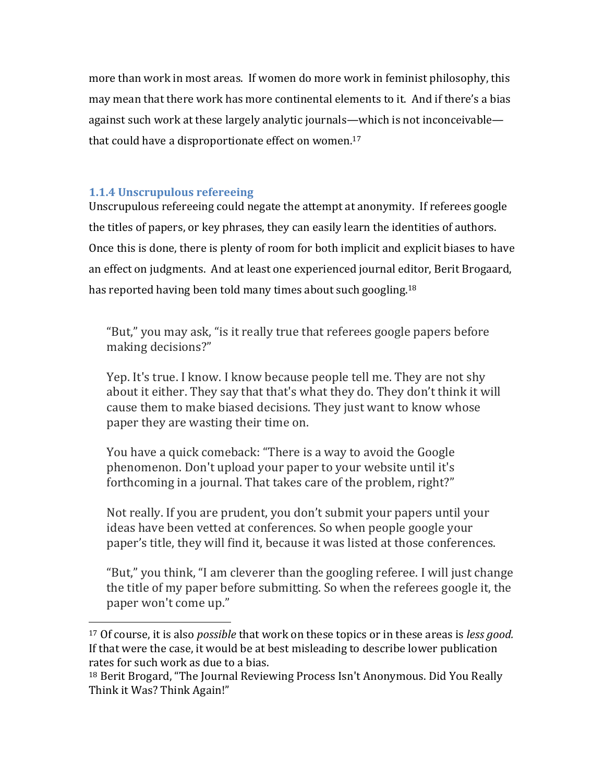more than work in most areas. If women do more work in feminist philosophy, this may mean that there work has more continental elements to it. And if there's a bias against such work at these largely analytic journals—which is not inconceivable that could have a disproportionate effect on women.<sup>17</sup>

## **1.1.4 Unscrupulous refereeing**

Unscrupulous refereeing could negate the attempt at anonymity. If referees google the titles of papers, or key phrases, they can easily learn the identities of authors. Once this is done, there is plenty of room for both implicit and explicit biases to have an effect on judgments. And at least one experienced journal editor, Berit Brogaard, has reported having been told many times about such googling.<sup>18</sup>

"But," you may ask, "is it really true that referees google papers before making decisions?"

Yep. It's true. I know. I know because people tell me. They are not shy about it either. They say that that's what they do. They don't think it will cause them to make biased decisions. They just want to know whose paper they are wasting their time on.

You have a quick comeback: "There is a way to avoid the Google phenomenon. Don't upload your paper to your website until it's forthcoming in a journal. That takes care of the problem, right?"

Not really. If you are prudent, you don't submit your papers until your ideas have been vetted at conferences. So when people google your paper's title, they will find it, because it was listed at those conferences.

"But," you think, "I am cleverer than the googling referee. I will just change the title of my paper before submitting. So when the referees google it, the paper won't come up."

 <sup>17</sup> Of course, it is also *possible* that work on these topics or in these areas is *less good*. If that were the case, it would be at best misleading to describe lower publication rates for such work as due to a bias.

<sup>&</sup>lt;sup>18</sup> Berit Brogard, "The Journal Reviewing Process Isn't Anonymous. Did You Really Think it Was? Think Again!"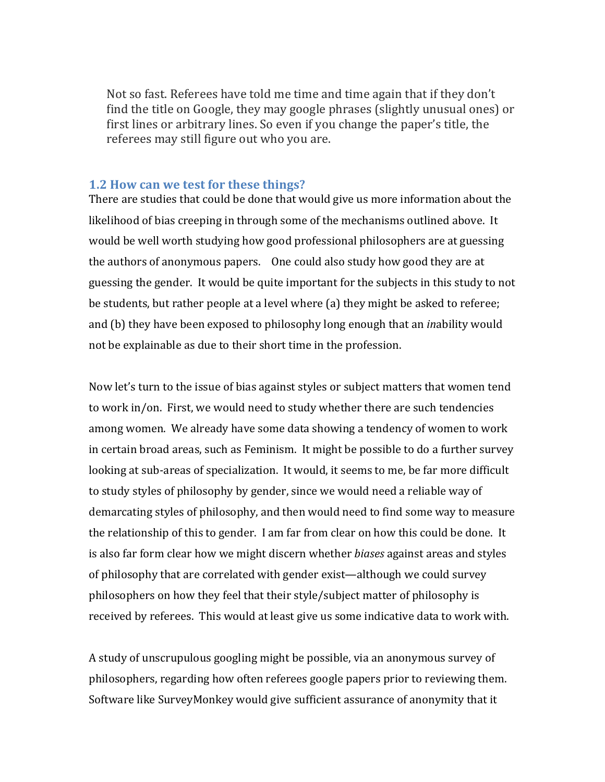Not so fast. Referees have told me time and time again that if they don't find the title on Google, they may google phrases (slightly unusual ones) or first lines or arbitrary lines. So even if you change the paper's title, the referees may still figure out who you are.

#### **1.2 How can we test for these things?**

There are studies that could be done that would give us more information about the likelihood of bias creeping in through some of the mechanisms outlined above. It would be well worth studying how good professional philosophers are at guessing the authors of anonymous papers. One could also study how good they are at guessing the gender. It would be quite important for the subjects in this study to not be students, but rather people at a level where (a) they might be asked to referee; and (b) they have been exposed to philosophy long enough that an *inability* would not be explainable as due to their short time in the profession.

Now let's turn to the issue of bias against styles or subject matters that women tend to work in/on. First, we would need to study whether there are such tendencies among women. We already have some data showing a tendency of women to work in certain broad areas, such as Feminism. It might be possible to do a further survey looking at sub-areas of specialization. It would, it seems to me, be far more difficult to study styles of philosophy by gender, since we would need a reliable way of demarcating styles of philosophy, and then would need to find some way to measure the relationship of this to gender. I am far from clear on how this could be done. It is also far form clear how we might discern whether *biases* against areas and styles of philosophy that are correlated with gender exist—although we could survey philosophers on how they feel that their style/subject matter of philosophy is received by referees. This would at least give us some indicative data to work with.

A study of unscrupulous googling might be possible, via an anonymous survey of philosophers, regarding how often referees google papers prior to reviewing them. Software like SurveyMonkey would give sufficient assurance of anonymity that it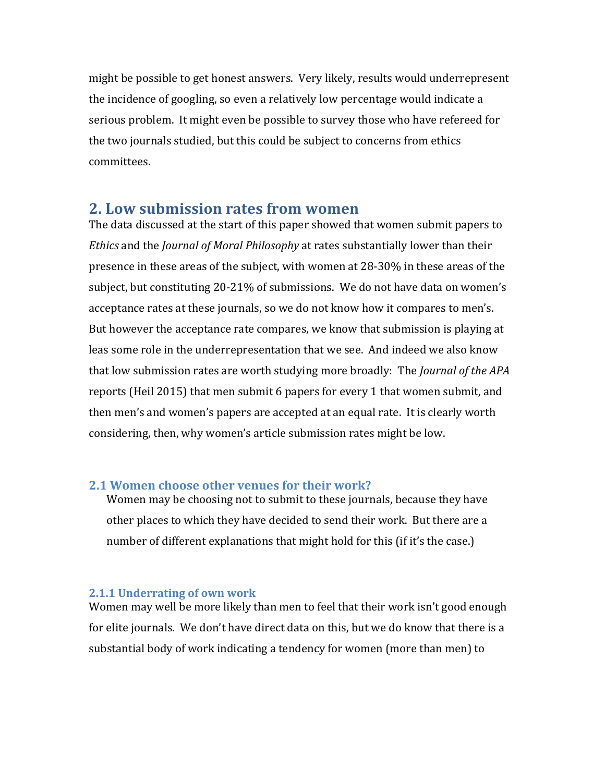might be possible to get honest answers. Very likely, results would underrepresent the incidence of googling, so even a relatively low percentage would indicate a serious problem. It might even be possible to survey those who have refereed for the two journals studied, but this could be subject to concerns from ethics committees.

# **2. Low submission rates from women**

The data discussed at the start of this paper showed that women submit papers to *Ethics* and the *Journal of Moral Philosophy* at rates substantially lower than their presence in these areas of the subject, with women at 28-30% in these areas of the subject, but constituting 20-21% of submissions. We do not have data on women's acceptance rates at these journals, so we do not know how it compares to men's. But however the acceptance rate compares, we know that submission is playing at leas some role in the underrepresentation that we see. And indeed we also know that low submission rates are worth studying more broadly: The *Journal of the APA* reports (Heil 2015) that men submit 6 papers for every 1 that women submit, and then men's and women's papers are accepted at an equal rate. It is clearly worth considering, then, why women's article submission rates might be low.

## **2.1 Women choose other venues for their work?**

Women may be choosing not to submit to these journals, because they have other places to which they have decided to send their work. But there are a number of different explanations that might hold for this (if it's the case.)

#### **2.1.1 Underrating of own work**

Women may well be more likely than men to feel that their work isn't good enough for elite journals. We don't have direct data on this, but we do know that there is a substantial body of work indicating a tendency for women (more than men) to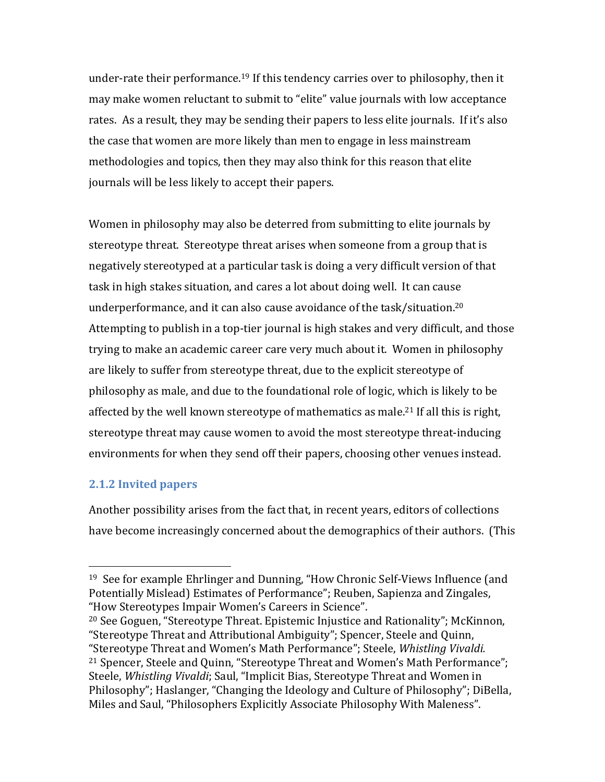under-rate their performance.<sup>19</sup> If this tendency carries over to philosophy, then it may make women reluctant to submit to "elite" value journals with low acceptance rates. As a result, they may be sending their papers to less elite journals. If it's also the case that women are more likely than men to engage in less mainstream methodologies and topics, then they may also think for this reason that elite journals will be less likely to accept their papers.

Women in philosophy may also be deterred from submitting to elite journals by stereotype threat. Stereotype threat arises when someone from a group that is negatively stereotyped at a particular task is doing a very difficult version of that task in high stakes situation, and cares a lot about doing well. It can cause underperformance, and it can also cause avoidance of the task/situation.<sup>20</sup> Attempting to publish in a top-tier journal is high stakes and very difficult, and those trying to make an academic career care very much about it. Women in philosophy are likely to suffer from stereotype threat, due to the explicit stereotype of philosophy as male, and due to the foundational role of logic, which is likely to be affected by the well known stereotype of mathematics as male.<sup>21</sup> If all this is right, stereotype threat may cause women to avoid the most stereotype threat-inducing environments for when they send off their papers, choosing other venues instead.

## **2.1.2 Invited papers**

 

Another possibility arises from the fact that, in recent years, editors of collections have become increasingly concerned about the demographics of their authors. (This

<sup>&</sup>lt;sup>19</sup> See for example Ehrlinger and Dunning, "How Chronic Self-Views Influence (and Potentially Mislead) Estimates of Performance"; Reuben, Sapienza and Zingales, "How Stereotypes Impair Women's Careers in Science".

 $20$  See Goguen, "Stereotype Threat. Epistemic Injustice and Rationality"; McKinnon, "Stereotype Threat and Attributional Ambiguity"; Spencer, Steele and Quinn, "Stereotype Threat and Women's Math Performance"; Steele, *Whistling Vivaldi.* <sup>21</sup> Spencer, Steele and Quinn, "Stereotype Threat and Women's Math Performance"; Steele, *Whistling Vivaldi*; Saul, "Implicit Bias, Stereotype Threat and Women in Philosophy"; Haslanger, "Changing the Ideology and Culture of Philosophy"; DiBella, Miles and Saul, "Philosophers Explicitly Associate Philosophy With Maleness".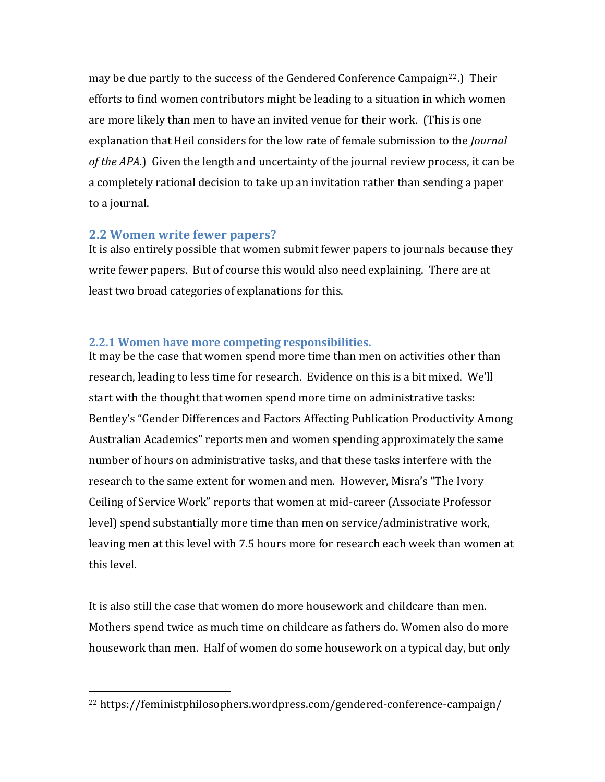may be due partly to the success of the Gendered Conference Campaign<sup>22</sup>.) Their efforts to find women contributors might be leading to a situation in which women are more likely than men to have an invited venue for their work. (This is one explanation that Heil considers for the low rate of female submission to the *Journal* of the APA.) Given the length and uncertainty of the journal review process, it can be a completely rational decision to take up an invitation rather than sending a paper to a journal.

#### **2.2 Women write fewer papers?**

It is also entirely possible that women submit fewer papers to journals because they write fewer papers. But of course this would also need explaining. There are at least two broad categories of explanations for this.

#### **2.2.1 Women have more competing responsibilities.**

It may be the case that women spend more time than men on activities other than research, leading to less time for research. Evidence on this is a bit mixed. We'll start with the thought that women spend more time on administrative tasks: Bentley's "Gender Differences and Factors Affecting Publication Productivity Among Australian Academics" reports men and women spending approximately the same number of hours on administrative tasks, and that these tasks interfere with the research to the same extent for women and men. However, Misra's "The Ivory" Ceiling of Service Work" reports that women at mid-career (Associate Professor level) spend substantially more time than men on service/administrative work, leaving men at this level with 7.5 hours more for research each week than women at this level.

It is also still the case that women do more housework and childcare than men. Mothers spend twice as much time on childcare as fathers do. Women also do more housework than men. Half of women do some housework on a typical day, but only

 <sup>22</sup> https://feministphilosophers.wordpress.com/gendered-conference-campaign/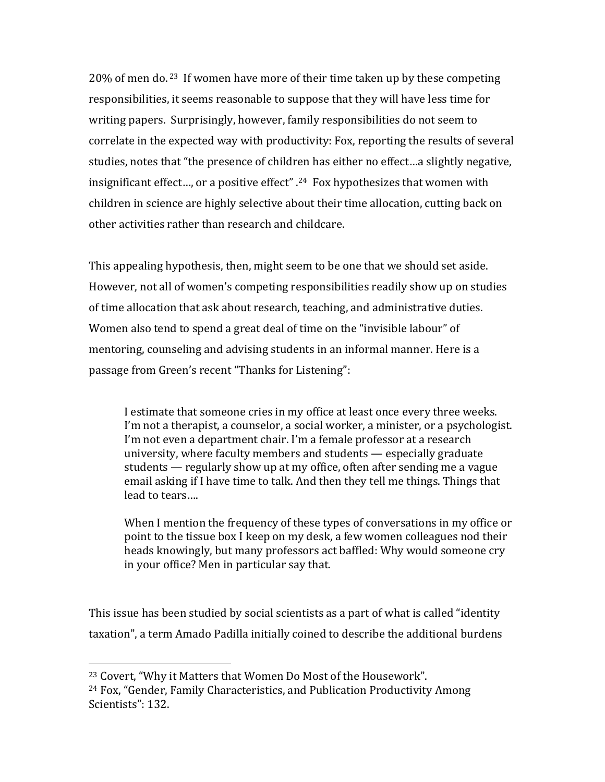$20\%$  of men do. <sup>23</sup> If women have more of their time taken up by these competing responsibilities, it seems reasonable to suppose that they will have less time for writing papers. Surprisingly, however, family responsibilities do not seem to correlate in the expected way with productivity: Fox, reporting the results of several studies, notes that "the presence of children has either no effect...a slightly negative, insignificant effect..., or a positive effect"  $.24$  Fox hypothesizes that women with children in science are highly selective about their time allocation, cutting back on other activities rather than research and childcare.

This appealing hypothesis, then, might seem to be one that we should set aside. However, not all of women's competing responsibilities readily show up on studies of time allocation that ask about research, teaching, and administrative duties. Women also tend to spend a great deal of time on the "invisible labour" of mentoring, counseling and advising students in an informal manner. Here is a passage from Green's recent "Thanks for Listening":

I estimate that someone cries in my office at least once every three weeks. I'm not a therapist, a counselor, a social worker, a minister, or a psychologist. I'm not even a department chair. I'm a female professor at a research university, where faculty members and students  $-$  especially graduate students — regularly show up at my office, often after sending me a vague email asking if I have time to talk. And then they tell me things. Things that lead to tears....

When I mention the frequency of these types of conversations in my office or point to the tissue box I keep on my desk, a few women colleagues nod their heads knowingly, but many professors act baffled: Why would someone cry in your office? Men in particular say that.

This issue has been studied by social scientists as a part of what is called "identity taxation", a term Amado Padilla initially coined to describe the additional burdens

 

<sup>&</sup>lt;sup>23</sup> Covert, "Why it Matters that Women Do Most of the Housework".

<sup>&</sup>lt;sup>24</sup> Fox, "Gender, Family Characteristics, and Publication Productivity Among Scientists": 132.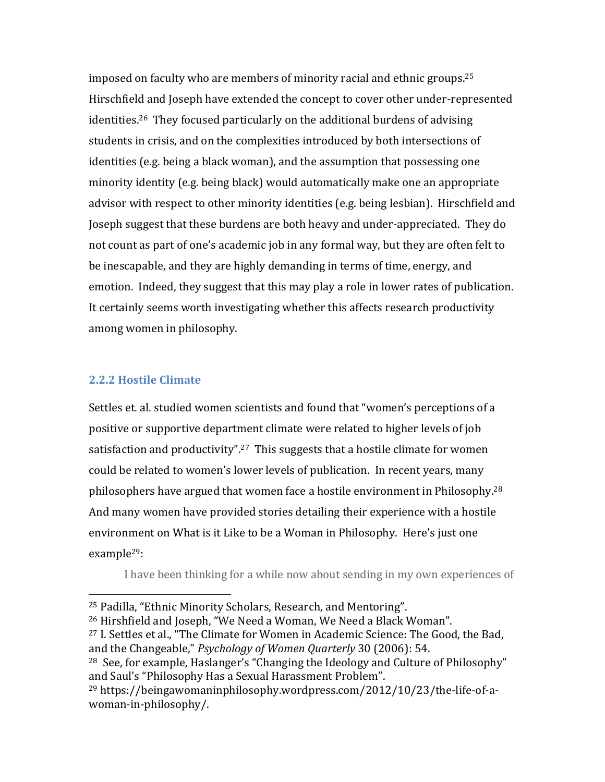imposed on faculty who are members of minority racial and ethnic groups.<sup>25</sup> Hirschfield and Joseph have extended the concept to cover other under-represented identities.<sup>26</sup> They focused particularly on the additional burdens of advising students in crisis, and on the complexities introduced by both intersections of identities (e.g. being a black woman), and the assumption that possessing one minority identity (e.g. being black) would automatically make one an appropriate advisor with respect to other minority identities (e.g. being lesbian). Hirschfield and Joseph suggest that these burdens are both heavy and under-appreciated. They do not count as part of one's academic job in any formal way, but they are often felt to be inescapable, and they are highly demanding in terms of time, energy, and emotion. Indeed, they suggest that this may play a role in lower rates of publication. It certainly seems worth investigating whether this affects research productivity among women in philosophy.

#### **2.2.2 Hostile Climate**

 

Settles et. al. studied women scientists and found that "women's perceptions of a positive or supportive department climate were related to higher levels of job satisfaction and productivity".<sup>27</sup> This suggests that a hostile climate for women could be related to women's lower levels of publication. In recent years, many philosophers have argued that women face a hostile environment in Philosophy.<sup>28</sup> And many women have provided stories detailing their experience with a hostile environment on What is it Like to be a Woman in Philosophy. Here's just one example29:

I have been thinking for a while now about sending in my own experiences of

 $27$  I. Settles et al., "The Climate for Women in Academic Science: The Good, the Bad, and the Changeable," *Psychology of Women Quarterly* 30 (2006): 54.

<sup>&</sup>lt;sup>25</sup> Padilla, "Ethnic Minority Scholars, Research, and Mentoring".

 $26$  Hirshfield and Joseph, "We Need a Woman, We Need a Black Woman".

<sup>&</sup>lt;sup>28</sup> See, for example, Haslanger's "Changing the Ideology and Culture of Philosophy" and Saul's "Philosophy Has a Sexual Harassment Problem".

<sup>&</sup>lt;sup>29</sup> https://beingawomaninphilosophy.wordpress.com/2012/10/23/the-life-of-awoman-in-philosophy/.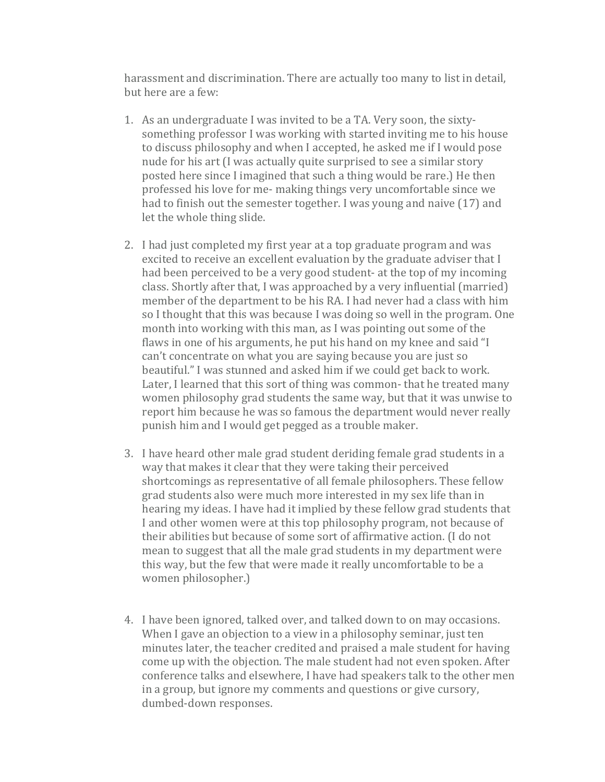harassment and discrimination. There are actually too many to list in detail, but here are a few:

- 1. As an undergraduate I was invited to be a TA. Very soon, the sixtysomething professor I was working with started inviting me to his house to discuss philosophy and when I accepted, he asked me if I would pose nude for his art (I was actually quite surprised to see a similar story posted here since I imagined that such a thing would be rare.) He then professed his love for me- making things very uncomfortable since we had to finish out the semester together. I was young and naive (17) and let the whole thing slide.
- 2. I had just completed my first year at a top graduate program and was excited to receive an excellent evaluation by the graduate adviser that I had been perceived to be a very good student- at the top of my incoming class. Shortly after that, I was approached by a very influential (married) member of the department to be his RA. I had never had a class with him so I thought that this was because I was doing so well in the program. One month into working with this man, as I was pointing out some of the flaws in one of his arguments, he put his hand on my knee and said "I can't concentrate on what you are saying because you are just so beautiful." I was stunned and asked him if we could get back to work. Later, I learned that this sort of thing was common- that he treated many women philosophy grad students the same way, but that it was unwise to report him because he was so famous the department would never really punish him and I would get pegged as a trouble maker.
- 3. I have heard other male grad student deriding female grad students in a way that makes it clear that they were taking their perceived shortcomings as representative of all female philosophers. These fellow grad students also were much more interested in my sex life than in hearing my ideas. I have had it implied by these fellow grad students that I and other women were at this top philosophy program, not because of their abilities but because of some sort of affirmative action. (I do not mean to suggest that all the male grad students in my department were this way, but the few that were made it really uncomfortable to be a women philosopher.)
- 4. I have been ignored, talked over, and talked down to on may occasions. When I gave an objection to a view in a philosophy seminar, just ten minutes later, the teacher credited and praised a male student for having come up with the objection. The male student had not even spoken. After conference talks and elsewhere. I have had speakers talk to the other men in a group, but ignore my comments and questions or give cursory, dumbed-down responses.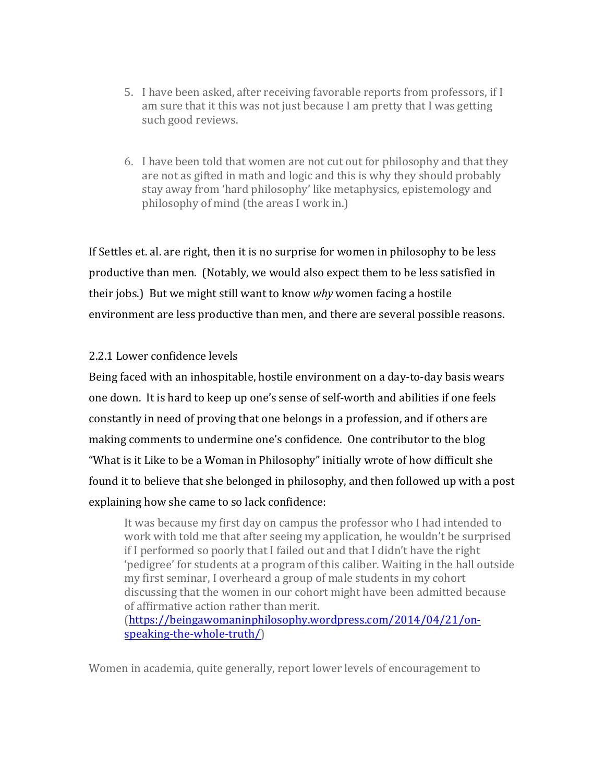- 5. I have been asked, after receiving favorable reports from professors, if I am sure that it this was not just because I am pretty that I was getting such good reviews.
- 6. I have been told that women are not cut out for philosophy and that they are not as gifted in math and logic and this is why they should probably stay away from 'hard philosophy' like metaphysics, epistemology and philosophy of mind (the areas I work in.)

If Settles et. al. are right, then it is no surprise for women in philosophy to be less productive than men. (Notably, we would also expect them to be less satisfied in their jobs.) But we might still want to know *why* women facing a hostile environment are less productive than men, and there are several possible reasons.

## 2.2.1 Lower confidence levels

Being faced with an inhospitable, hostile environment on a day-to-day basis wears one down. It is hard to keep up one's sense of self-worth and abilities if one feels constantly in need of proving that one belongs in a profession, and if others are making comments to undermine one's confidence. One contributor to the blog "What is it Like to be a Woman in Philosophy" initially wrote of how difficult she found it to believe that she belonged in philosophy, and then followed up with a post explaining how she came to so lack confidence:

It was because my first day on campus the professor who I had intended to work with told me that after seeing my application, he wouldn't be surprised if I performed so poorly that I failed out and that I didn't have the right 'pedigree' for students at a program of this caliber. Waiting in the hall outside my first seminar, I overheard a group of male students in my cohort discussing that the women in our cohort might have been admitted because of affirmative action rather than merit. (https://beingawomaninphilosophy.wordpress.com/2014/04/21/onspeaking-the-whole-truth/) 

Women in academia, quite generally, report lower levels of encouragement to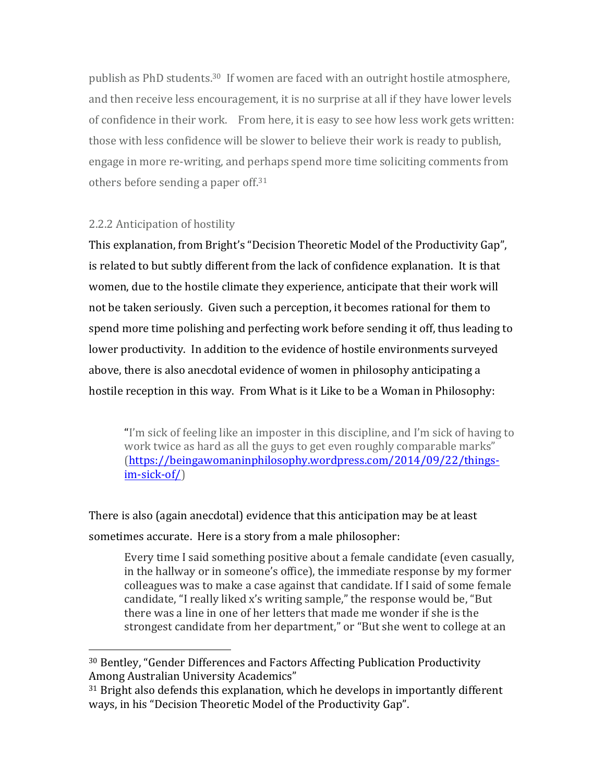publish as PhD students.<sup>30</sup> If women are faced with an outright hostile atmosphere, and then receive less encouragement, it is no surprise at all if they have lower levels of confidence in their work. From here, it is easy to see how less work gets written: those with less confidence will be slower to believe their work is ready to publish, engage in more re-writing, and perhaps spend more time soliciting comments from others before sending a paper off.<sup>31</sup>

#### 2.2.2 Anticipation of hostility

 

This explanation, from Bright's "Decision Theoretic Model of the Productivity Gap", is related to but subtly different from the lack of confidence explanation. It is that women, due to the hostile climate they experience, anticipate that their work will not be taken seriously. Given such a perception, it becomes rational for them to spend more time polishing and perfecting work before sending it off, thus leading to lower productivity. In addition to the evidence of hostile environments surveyed above, there is also anecdotal evidence of women in philosophy anticipating a hostile reception in this way. From What is it Like to be a Woman in Philosophy:

"I'm sick of feeling like an imposter in this discipline, and I'm sick of having to work twice as hard as all the guys to get even roughly comparable marks" (https://beingawomaninphilosophy.wordpress.com/2014/09/22/thingsim-sick-of/) 

There is also (again anecdotal) evidence that this anticipation may be at least sometimes accurate. Here is a story from a male philosopher:

Every time I said something positive about a female candidate (even casually, in the hallway or in someone's office), the immediate response by my former colleagues was to make a case against that candidate. If I said of some female candidate, "I really liked x's writing sample," the response would be, "But there was a line in one of her letters that made me wonder if she is the strongest candidate from her department," or "But she went to college at an

<sup>&</sup>lt;sup>30</sup> Bentley, "Gender Differences and Factors Affecting Publication Productivity Among Australian University Academics"

 $31$  Bright also defends this explanation, which he develops in importantly different ways, in his "Decision Theoretic Model of the Productivity Gap".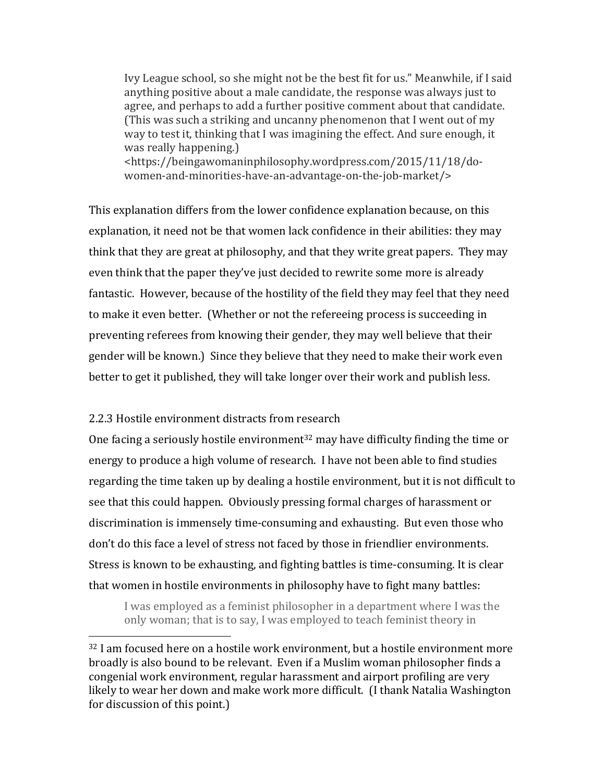Ivy League school, so she might not be the best fit for us." Meanwhile, if I said anything positive about a male candidate, the response was always just to agree, and perhaps to add a further positive comment about that candidate. (This was such a striking and uncanny phenomenon that I went out of my way to test it, thinking that I was imagining the effect. And sure enough, it was really happening.) <https://beingawomaninphilosophy.wordpress.com/2015/11/18/do-

women-and-minorities-have-an-advantage-on-the-job-market/>

This explanation differs from the lower confidence explanation because, on this explanation, it need not be that women lack confidence in their abilities: they may think that they are great at philosophy, and that they write great papers. They may even think that the paper they've just decided to rewrite some more is already fantastic. However, because of the hostility of the field they may feel that they need to make it even better. (Whether or not the refereeing process is succeeding in preventing referees from knowing their gender, they may well believe that their gender will be known.) Since they believe that they need to make their work even better to get it published, they will take longer over their work and publish less.

#### 2.2.3 Hostile environment distracts from research

 

One facing a seriously hostile environment<sup>32</sup> may have difficulty finding the time or energy to produce a high volume of research. I have not been able to find studies regarding the time taken up by dealing a hostile environment, but it is not difficult to see that this could happen. Obviously pressing formal charges of harassment or discrimination is immensely time-consuming and exhausting. But even those who don't do this face a level of stress not faced by those in friendlier environments. Stress is known to be exhausting, and fighting battles is time-consuming. It is clear that women in hostile environments in philosophy have to fight many battles:

I was employed as a feminist philosopher in a department where I was the only woman; that is to say, I was employed to teach feminist theory in

 $32$  I am focused here on a hostile work environment, but a hostile environment more broadly is also bound to be relevant. Even if a Muslim woman philosopher finds a congenial work environment, regular harassment and airport profiling are very likely to wear her down and make work more difficult. (I thank Natalia Washington for discussion of this point.)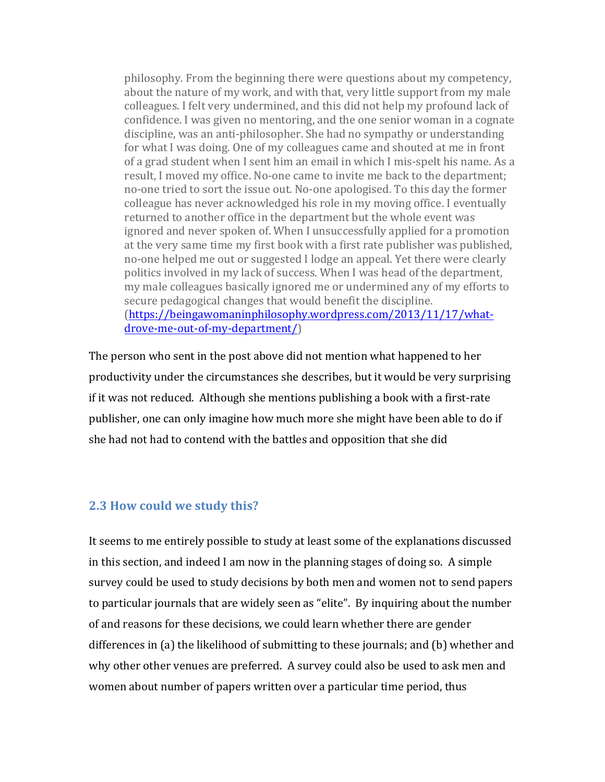philosophy. From the beginning there were questions about my competency, about the nature of my work, and with that, very little support from my male colleagues. I felt very undermined, and this did not help my profound lack of confidence. I was given no mentoring, and the one senior woman in a cognate discipline, was an anti-philosopher. She had no sympathy or understanding for what I was doing. One of my colleagues came and shouted at me in front of a grad student when I sent him an email in which I mis-spelt his name. As a result, I moved my office. No-one came to invite me back to the department; no-one tried to sort the issue out. No-one apologised. To this day the former colleague has never acknowledged his role in my moving office. I eventually returned to another office in the department but the whole event was ignored and never spoken of. When I unsuccessfully applied for a promotion at the very same time my first book with a first rate publisher was published, no-one helped me out or suggested I lodge an appeal. Yet there were clearly politics involved in my lack of success. When I was head of the department, my male colleagues basically ignored me or undermined any of my efforts to secure pedagogical changes that would benefit the discipline. (https://beingawomaninphilosophy.wordpress.com/2013/11/17/whatdrove-me-out-of-my-department/) 

The person who sent in the post above did not mention what happened to her productivity under the circumstances she describes, but it would be very surprising if it was not reduced. Although she mentions publishing a book with a first-rate publisher, one can only imagine how much more she might have been able to do if she had not had to contend with the battles and opposition that she did

## **2.3 How could we study this?**

It seems to me entirely possible to study at least some of the explanations discussed in this section, and indeed I am now in the planning stages of doing so. A simple survey could be used to study decisions by both men and women not to send papers to particular journals that are widely seen as "elite". By inquiring about the number of and reasons for these decisions, we could learn whether there are gender differences in (a) the likelihood of submitting to these journals; and (b) whether and why other other venues are preferred. A survey could also be used to ask men and women about number of papers written over a particular time period, thus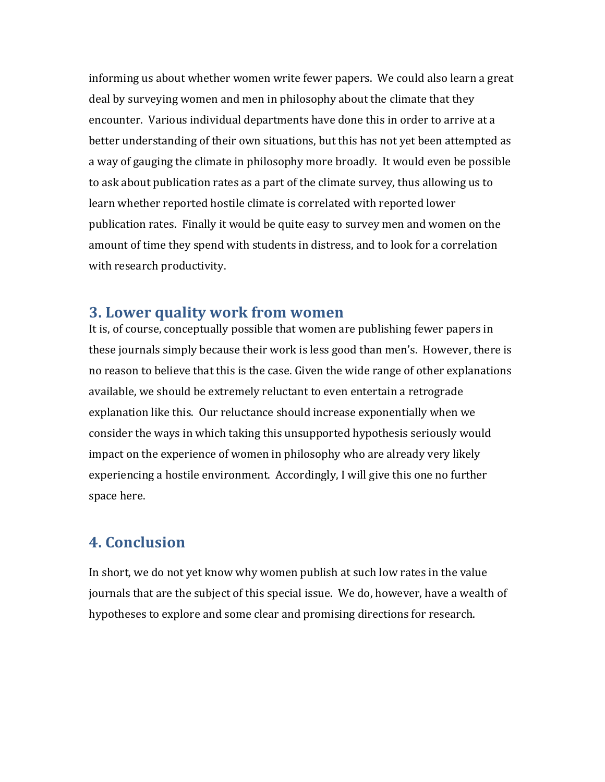informing us about whether women write fewer papers. We could also learn a great deal by surveying women and men in philosophy about the climate that they encounter. Various individual departments have done this in order to arrive at a better understanding of their own situations, but this has not yet been attempted as a way of gauging the climate in philosophy more broadly. It would even be possible to ask about publication rates as a part of the climate survey, thus allowing us to learn whether reported hostile climate is correlated with reported lower publication rates. Finally it would be quite easy to survey men and women on the amount of time they spend with students in distress, and to look for a correlation with research productivity.

# **3. Lower quality work from women**

It is, of course, conceptually possible that women are publishing fewer papers in these journals simply because their work is less good than men's. However, there is no reason to believe that this is the case. Given the wide range of other explanations available, we should be extremely reluctant to even entertain a retrograde explanation like this. Our reluctance should increase exponentially when we consider the ways in which taking this unsupported hypothesis seriously would impact on the experience of women in philosophy who are already very likely experiencing a hostile environment. Accordingly, I will give this one no further space here.

# **4. Conclusion**

In short, we do not yet know why women publish at such low rates in the value journals that are the subject of this special issue. We do, however, have a wealth of hypotheses to explore and some clear and promising directions for research.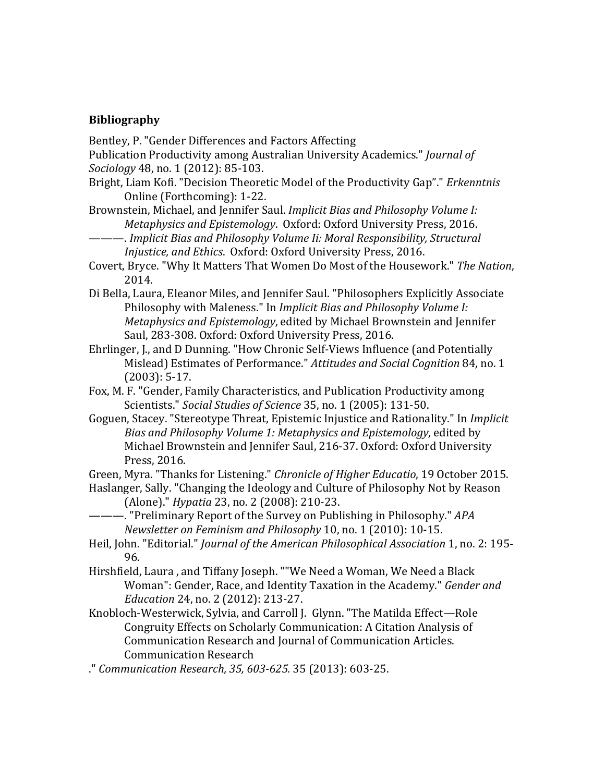#### **Bibliography**

Bentley, P. "Gender Differences and Factors Affecting

Publication Productivity among Australian University Academics." *Journal of Sociology* 48, no. 1 (2012): 85-103.

Bright, Liam Kofi. "Decision Theoretic Model of the Productivity Gap"." *Erkenntnis* Online (Forthcoming): 1-22.

Brownstein, Michael, and Jennifer Saul. *Implicit Bias and Philosophy Volume I: Metaphysics and Epistemology.* Oxford: Oxford University Press, 2016.

- —. Implicit Bias and Philosophy Volume Ii: Moral Responsibility, Structural *Injustice, and Ethics.* Oxford: Oxford University Press, 2016.
- Covert, Bryce. "Why It Matters That Women Do Most of the Housework." The Nation, 2014.
- Di Bella, Laura, Eleanor Miles, and Jennifer Saul. "Philosophers Explicitly Associate Philosophy with Maleness." In *Implicit Bias and Philosophy Volume I: Metaphysics and Epistemology*, edited by Michael Brownstein and Jennifer Saul, 283-308. Oxford: Oxford University Press, 2016.
- Ehrlinger, J., and D Dunning. "How Chronic Self-Views Influence (and Potentially Mislead) Estimates of Performance." Attitudes and Social Cognition 84, no. 1  $(2003): 5-17.$
- Fox, M. F. "Gender, Family Characteristics, and Publication Productivity among Scientists." Social Studies of Science 35, no. 1 (2005): 131-50.
- Goguen, Stacey. "Stereotype Threat, Epistemic Injustice and Rationality." In *Implicit Bias and Philosophy Volume 1: Metaphysics and Epistemology*, edited by Michael Brownstein and Jennifer Saul, 216-37. Oxford: Oxford University Press, 2016.

Green, Myra. "Thanks for Listening." *Chronicle of Higher Educatio*, 19 October 2015.

- Haslanger, Sally. "Changing the Ideology and Culture of Philosophy Not by Reason (Alone)." *Hypatia* 23, no. 2 (2008): 210-23.
- ———. "Preliminary Report of the Survey on Publishing in Philosophy." *APA Newsletter* on Feminism and Philosophy 10, no. 1 (2010): 10-15.
- Heil, John. "Editorial." *Journal of the American Philosophical Association* 1, no. 2: 195-96.
- Hirshfield, Laura, and Tiffany Joseph. ""We Need a Woman, We Need a Black Woman": Gender, Race, and Identity Taxation in the Academy." *Gender and Education* 24, no. 2 (2012): 213-27.
- Knobloch-Westerwick, Sylvia, and Carroll J. Glynn. "The Matilda Effect-Role Congruity Effects on Scholarly Communication: A Citation Analysis of Communication Research and Journal of Communication Articles. Communication Research
- ." *Communication Research, 35, 603-625.* 35 (2013): 603-25.